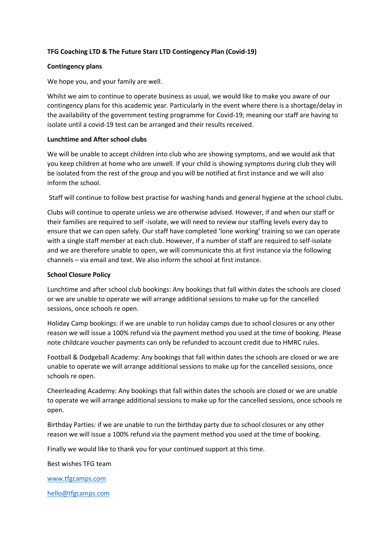#### **TFG Coaching LTD & The Future Starz LTD Contingency Plan (Covid-19)**

#### **Contingency plans**

We hope you, and your family are well.

Whilst we aim to continue to operate business as usual, we would like to make you aware of our contingency plans for this academic year. Particularly in the event where there is a shortage/delay in the availability of the government testing programme for Covid-19; meaning our staff are having to isolate until a covid-19 test can be arranged and their results received.

#### **Lunchtime and After school clubs**

We will be unable to accept children into club who are showing symptoms, and we would ask that you keep children at home who are unwell. If your child is showing symptoms during club they will be isolated from the rest of the group and you will be notified at first instance and we will also inform the school.

Staff will continue to follow best practise for washing hands and general hygiene at the school clubs.

Clubs will continue to operate unless we are otherwise advised. However, if and when our staff or their families are required to self -isolate, we will need to review our staffing levels every day to ensure that we can open safely. Our staff have completed 'lone working' training so we can operate with a single staff member at each club. However, if a number of staff are required to self-isolate and we are therefore unable to open, we will communicate this at first instance via the following channels – via email and text. We also inform the school at first instance.

#### **School Closure Policy**

Lunchtime and after school club bookings: Any bookings that fall within dates the schools are closed or we are unable to operate we will arrange additional sessions to make up for the cancelled sessions, once schools re open.

Holiday Camp bookings: if we are unable to run holiday camps due to school closures or any other reason we will issue a 100% refund via the payment method you used at the time of booking. Please note childcare voucher payments can only be refunded to account credit due to HMRC rules.

Football & Dodgeball Academy: Any bookings that fall within dates the schools are closed or we are unable to operate we will arrange additional sessions to make up for the cancelled sessions, once schools re open.

Cheerleading Academy: Any bookings that fall within dates the schools are closed or we are unable to operate we will arrange additional sessions to make up for the cancelled sessions, once schools re open.

Birthday Parties: if we are unable to run the birthday party due to school closures or any other reason we will issue a 100% refund via the payment method you used at the time of booking.

Finally we would like to thank you for your continued support at this time.

Best wishes TFG team

[www.tfgcamps.com](http://www.tfgcamps.com/)

[hello@tfgcamps.com](mailto:hello@tfgcamps.com)